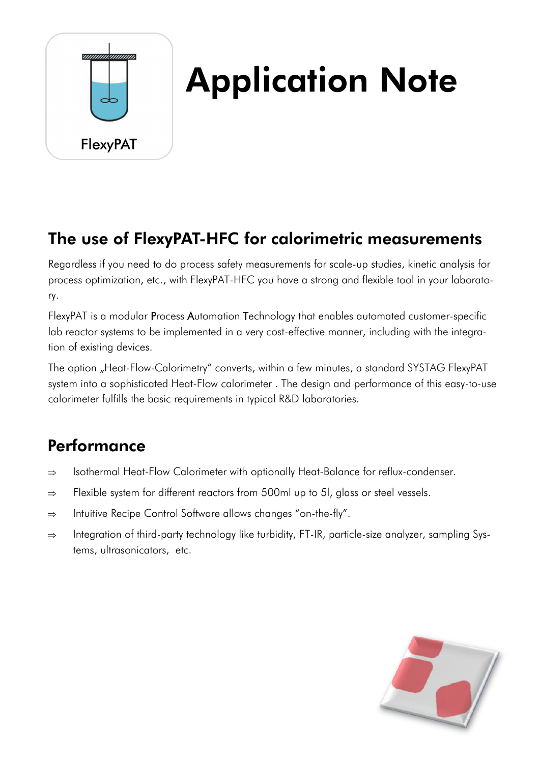

# Application Note

#### The use of FlexyPAT-HFC for calorimetric measurements

Regardless if you need to do process safety measurements for scale-up studies, kinetic analysis for process optimization, etc., with FlexyPAT-HFC you have a strong and flexible tool in your laboratory.

FlexyPAT is a modular Process Automation Technology that enables automated customer-specific lab reactor systems to be implemented in a very cost-effective manner, including with the integration of existing devices.

The option "Heat-Flow-Calorimetry" converts, within a few minutes, a standard SYSTAG FlexyPAT system into a sophisticated Heat-Flow calorimeter . The design and performance of this easy-to-use calorimeter fulfills the basic requirements in typical R&D laboratories.

## **Performance**

- $\Rightarrow$  Isothermal Heat-Flow Calorimeter with optionally Heat-Balance for reflux-condenser.
- $\Rightarrow$  Flexible system for different reactors from 500ml up to 5l, glass or steel vessels.
- $\Rightarrow$  Intuitive Recipe Control Software allows changes "on-the-fly".
- $\Rightarrow$  Integration of third-party technology like turbidity, FT-IR, particle-size analyzer, sampling Systems, ultrasonicators, etc.

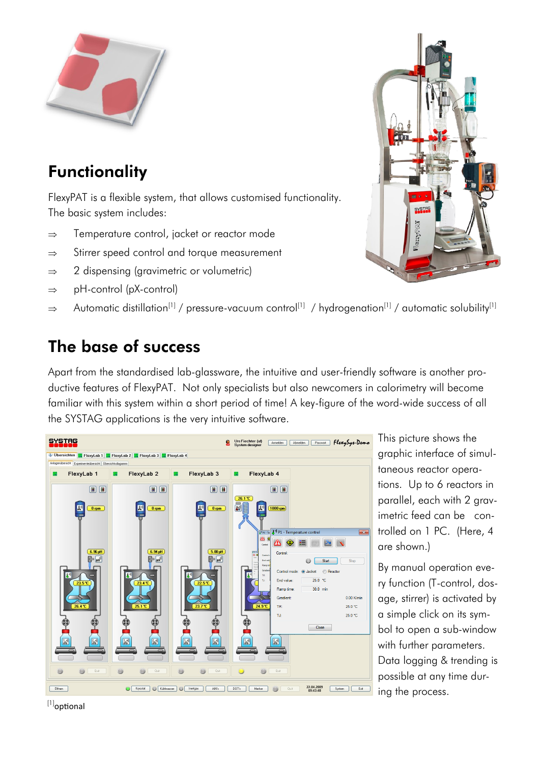

## **Functionality**

FlexyPAT is a flexible system, that allows customised functionality. The basic system includes:

- $\Rightarrow$  Temperature control, jacket or reactor mode
- $\Rightarrow$  Stirrer speed control and torque measurement
- $\Rightarrow$  2 dispensing (gravimetric or volumetric)
- $\Rightarrow$  pH-control (pX-control)
- $\Rightarrow$  Automatic distillation<sup>[1]</sup> / pressure-vacuum control<sup>[1]</sup> / hydrogenation<sup>[1]</sup> / automatic solubility<sup>[1]</sup>

### The base of success

Apart from the standardised lab-glassware, the intuitive and user-friendly software is another productive features of FlexyPAT. Not only specialists but also newcomers in calorimetry will become familiar with this system within a short period of time! A key-figure of the word-wide success of all the SYSTAG applications is the very intuitive software.



This picture shows the graphic interface of simultaneous reactor operations. Up to 6 reactors in parallel, each with 2 gravimetric feed can be controlled on 1 PC. (Here, 4 are shown.)

By manual operation every function (T-control, dosage, stirrer) is activated by a simple click on its symbol to open a sub-window with further parameters. Data logging & trending is possible at any time during the process.



<sup>[1]</sup>optional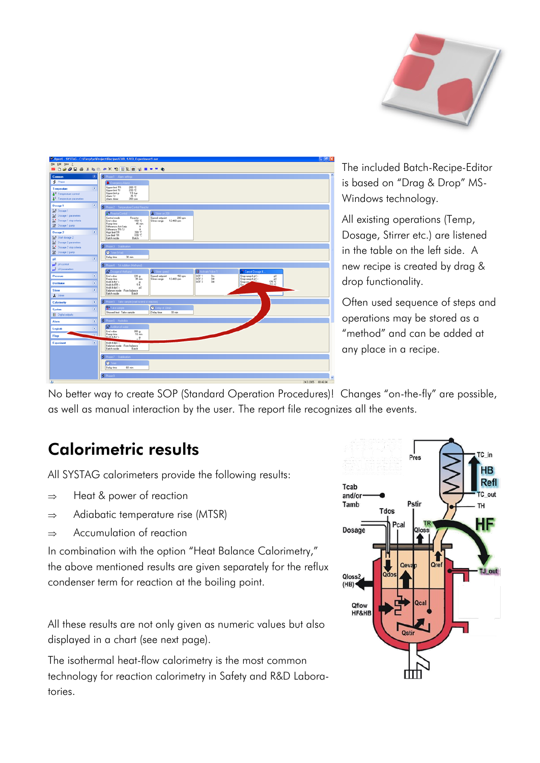

|                                                 | <sup>29</sup> OperX - SYSTAG - C:\FlexySys\Project\Recipes\CUB_1283_Experiment1.sor<br>$-6x$                                                                                                                                                                              |   |
|-------------------------------------------------|---------------------------------------------------------------------------------------------------------------------------------------------------------------------------------------------------------------------------------------------------------------------------|---|
| Elle Edit View 2                                |                                                                                                                                                                                                                                                                           |   |
|                                                 | ■DBタロタメも自由×19日に出てままま●                                                                                                                                                                                                                                                     |   |
| Common                                          | Finale 1 - Alam settings                                                                                                                                                                                                                                                  |   |
| <b>S</b> Phase                                  | <b>A</b> Energency Alan                                                                                                                                                                                                                                                   |   |
| 医<br>Тепренале                                  | Upper limit TR<br>200 °C<br>230 °C<br>Upper limit TJ                                                                                                                                                                                                                      |   |
| 1 <sup>-3</sup> Temperature control             | 1.5 bar<br>Upper limit p<br>25 °C<br>Alam TJ                                                                                                                                                                                                                              |   |
| <sup>1</sup> Temperature parameters             | Alam stiner<br>200 rpm                                                                                                                                                                                                                                                    |   |
| 楽<br>Dosage 1                                   | S. Phase 2 Temperature Control Reactor                                                                                                                                                                                                                                    |   |
| La <sup>d</sup> Dosage 1<br>Dosage 1 parameters | <b>Id Reactor Control</b><br>& Stirer on 200                                                                                                                                                                                                                              |   |
| Dosage 1 stop criteria                          | Control mode<br>Reactor<br>Speed setpoint<br>$200$ rpm<br>Stiner range 12-400 rpm<br>End value<br>150 °C                                                                                                                                                                  |   |
| Dosage 1 pump                                   | 45 min<br>Ranp time<br>Difference Act-Setp<br>к                                                                                                                                                                                                                           |   |
| <b>F</b><br>Dosage 2                            | Difference TR-TJ<br>ĸ<br>$200 \text{ }\text{C}$<br>High limit TR                                                                                                                                                                                                          |   |
| Staff Start docage 2                            | $-100$ °C<br>Low limit TR<br>Batch<br>Batch mode                                                                                                                                                                                                                          |   |
| Dosage 2 parameters                             |                                                                                                                                                                                                                                                                           |   |
| <b>C</b> Dosage 2 stop criteria                 | S Phone 3 Stabilizion                                                                                                                                                                                                                                                     |   |
| <b>送</b> Dosage 2 pump                          | <b>O</b> Time (wal)<br>$30 \text{ min}$<br>Delay time                                                                                                                                                                                                                     |   |
| œ<br>вX                                         |                                                                                                                                                                                                                                                                           |   |
| and pK control<br>por pli parameters            | Phase 4 Tel Addition (Methanol)                                                                                                                                                                                                                                           |   |
|                                                 | <b>M</b> Dosage of Methanol<br><b>A</b> Stine used<br>π.<br>e Valve 1<br>Cancel Dosage E.                                                                                                                                                                                 |   |
| κ<br>Ріевиде                                    | DOT <sub>1</sub><br>150 rpm<br>End value<br>220 <sub>9</sub><br>Speed setpoint<br>$\frac{0n}{0n}$<br>Stop ramp if pl (><br>pK<br>$35 \text{ min}$<br>DOT <sub>2</sub><br>Rano tine<br>Stirer range 12-400 rpm<br>Stop ramp if pl <<br>pΚ<br>175C<br>Hold if dw ><br>DOT 3 |   |
| ×<br><b>Distillation</b>                        | Stop ram<br>5k<br>Hold # dTR ><br><b>LEW NS</b><br>Hold if doX ><br>øΚ                                                                                                                                                                                                    |   |
| 梁<br><b>Stimer</b>                              | Balance mode From balance<br>Batch mode<br><b>Batch</b>                                                                                                                                                                                                                   |   |
| & Stiner                                        |                                                                                                                                                                                                                                                                           |   |
| Calorimetry<br>×                                | Fhase 5 Take sample (wait for end of reaction)                                                                                                                                                                                                                            |   |
| 金<br>System                                     | <b>O</b> Delay of 30min<br><b>T</b> Take Langle<br>30 min                                                                                                                                                                                                                 |   |
| <b>El</b> Digital outputs                       | Showed text Take sample<br>Delay time                                                                                                                                                                                                                                     |   |
| $\mathbf{z}$<br>Alarm                           | S Phase 6 Hudolini                                                                                                                                                                                                                                                        |   |
| ×<br>Logicals                                   | <b>AR Address of mater</b>                                                                                                                                                                                                                                                |   |
| Flogs                                           | End value<br>300 <sub>g</sub><br>Ranp time<br>10 min                                                                                                                                                                                                                      |   |
| ×                                               | HINHE ON'S<br>$-2$                                                                                                                                                                                                                                                        |   |
| <b>Experiment</b>                               | Hold # dpk ><br>Balance mode From balance<br>Batch<br>Batch mode                                                                                                                                                                                                          |   |
|                                                 |                                                                                                                                                                                                                                                                           |   |
|                                                 | Phase 7 Stabilistics                                                                                                                                                                                                                                                      |   |
|                                                 | $\bullet$ Times                                                                                                                                                                                                                                                           |   |
|                                                 | Delay time<br>60 min                                                                                                                                                                                                                                                      |   |
|                                                 | S Phase 8                                                                                                                                                                                                                                                                 | v |
| $\mathbf{L}$                                    | 34.3.3000 00:40:04                                                                                                                                                                                                                                                        |   |

The included Batch-Recipe-Editor is based on "Drag & Drop" MS-Windows technology.

All existing operations (Temp, Dosage, Stirrer etc.) are listened in the table on the left side. A new recipe is created by drag & drop functionality.

Often used sequence of steps and operations may be stored as a "method" and can be added at any place in a recipe.

No better way to create SOP (Standard Operation Procedures)! Changes "on-the-fly" are possible, as well as manual interaction by the user. The report file recognizes all the events.

#### Calorimetric results

All SYSTAG calorimeters provide the following results:

- $\Rightarrow$  Heat & power of reaction
- $\Rightarrow$  Adiabatic temperature rise (MTSR)
- $\Rightarrow$  Accumulation of reaction

In combination with the option "Heat Balance Calorimetry," the above mentioned results are given separately for the reflux condenser term for reaction at the boiling point.

All these results are not only given as numeric values but also displayed in a chart (see next page).

The isothermal heat-flow calorimetry is the most common technology for reaction calorimetry in Safety and R&D Laboratories.